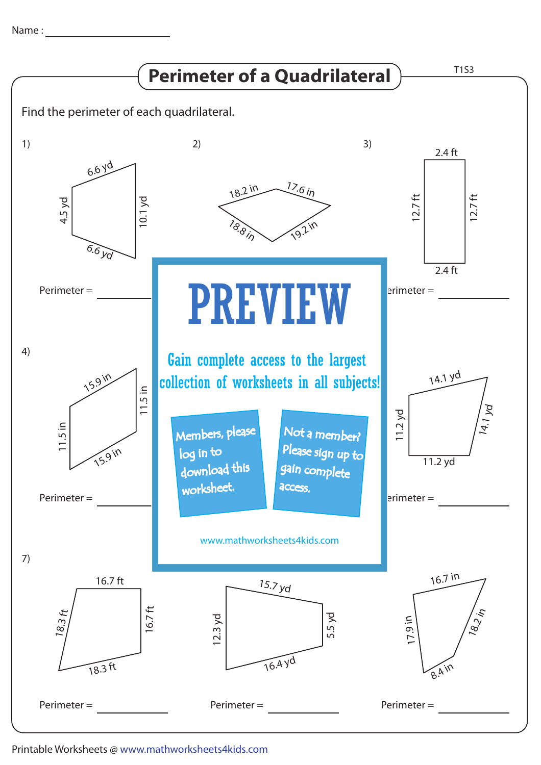Name : with the state of  $\sim$ 



Printable Worksheets @ www.mathworksheets4kids.com